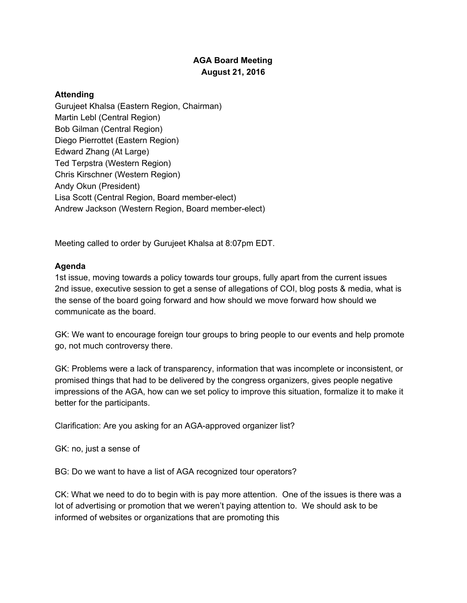## **AGA Board Meeting August 21, 2016**

## **Attending**

Gurujeet Khalsa (Eastern Region, Chairman) Martin Lebl (Central Region) Bob Gilman (Central Region) Diego Pierrottet (Eastern Region) Edward Zhang (At Large) Ted Terpstra (Western Region) Chris Kirschner (Western Region) Andy Okun (President) Lisa Scott (Central Region, Board member-elect) Andrew Jackson (Western Region, Board member-elect)

Meeting called to order by Gurujeet Khalsa at 8:07pm EDT.

## **Agenda**

1st issue, moving towards a policy towards tour groups, fully apart from the current issues 2nd issue, executive session to get a sense of allegations of COI, blog posts & media, what is the sense of the board going forward and how should we move forward how should we communicate as the board.

GK: We want to encourage foreign tour groups to bring people to our events and help promote go, not much controversy there.

GK: Problems were a lack of transparency, information that was incomplete or inconsistent, or promised things that had to be delivered by the congress organizers, gives people negative impressions of the AGA, how can we set policy to improve this situation, formalize it to make it better for the participants.

Clarification: Are you asking for an AGA-approved organizer list?

GK: no, just a sense of

BG: Do we want to have a list of AGA recognized tour operators?

CK: What we need to do to begin with is pay more attention. One of the issues is there was a lot of advertising or promotion that we weren't paying attention to. We should ask to be informed of websites or organizations that are promoting this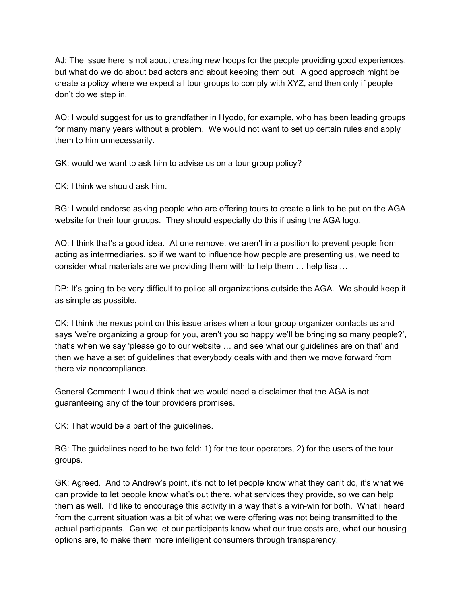AJ: The issue here is not about creating new hoops for the people providing good experiences, but what do we do about bad actors and about keeping them out. A good approach might be create a policy where we expect all tour groups to comply with XYZ, and then only if people don't do we step in.

AO: I would suggest for us to grandfather in Hyodo, for example, who has been leading groups for many many years without a problem. We would not want to set up certain rules and apply them to him unnecessarily.

GK: would we want to ask him to advise us on a tour group policy?

CK: I think we should ask him.

BG: I would endorse asking people who are offering tours to create a link to be put on the AGA website for their tour groups. They should especially do this if using the AGA logo.

AO: I think that's a good idea. At one remove, we aren't in a position to prevent people from acting as intermediaries, so if we want to influence how people are presenting us, we need to consider what materials are we providing them with to help them … help lisa …

DP: It's going to be very difficult to police all organizations outside the AGA. We should keep it as simple as possible.

CK: I think the nexus point on this issue arises when a tour group organizer contacts us and says 'we're organizing a group for you, aren't you so happy we'll be bringing so many people?', that's when we say 'please go to our website … and see what our guidelines are on that' and then we have a set of guidelines that everybody deals with and then we move forward from there viz noncompliance.

General Comment: I would think that we would need a disclaimer that the AGA is not guaranteeing any of the tour providers promises.

CK: That would be a part of the guidelines.

BG: The guidelines need to be two fold: 1) for the tour operators, 2) for the users of the tour groups.

GK: Agreed. And to Andrew's point, it's not to let people know what they can't do, it's what we can provide to let people know what's out there, what services they provide, so we can help them as well. I'd like to encourage this activity in a way that's a win-win for both. What i heard from the current situation was a bit of what we were offering was not being transmitted to the actual participants. Can we let our participants know what our true costs are, what our housing options are, to make them more intelligent consumers through transparency.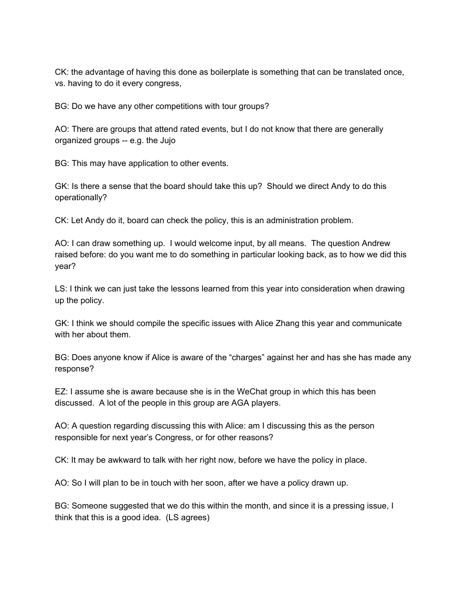CK: the advantage of having this done as boilerplate is something that can be translated once, vs. having to do it every congress,

BG: Do we have any other competitions with tour groups?

AO: There are groups that attend rated events, but I do not know that there are generally organized groups -- e.g. the Jujo

BG: This may have application to other events.

GK: Is there a sense that the board should take this up? Should we direct Andy to do this operationally?

CK: Let Andy do it, board can check the policy, this is an administration problem.

AO: I can draw something up. I would welcome input, by all means. The question Andrew raised before: do you want me to do something in particular looking back, as to how we did this year?

LS: I think we can just take the lessons learned from this year into consideration when drawing up the policy.

GK: I think we should compile the specific issues with Alice Zhang this year and communicate with her about them.

BG: Does anyone know if Alice is aware of the "charges" against her and has she has made any response?

EZ: I assume she is aware because she is in the WeChat group in which this has been discussed. A lot of the people in this group are AGA players.

AO: A question regarding discussing this with Alice: am I discussing this as the person responsible for next year's Congress, or for other reasons?

CK: It may be awkward to talk with her right now, before we have the policy in place.

AO: So I will plan to be in touch with her soon, after we have a policy drawn up.

BG: Someone suggested that we do this within the month, and since it is a pressing issue, I think that this is a good idea. (LS agrees)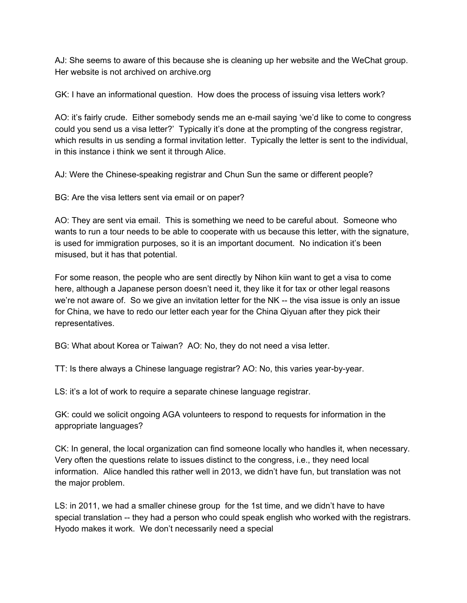AJ: She seems to aware of this because she is cleaning up her website and the WeChat group. Her website is not archived on archive.org

GK: I have an informational question. How does the process of issuing visa letters work?

AO: it's fairly crude. Either somebody sends me an e-mail saying 'we'd like to come to congress could you send us a visa letter?' Typically it's done at the prompting of the congress registrar, which results in us sending a formal invitation letter. Typically the letter is sent to the individual, in this instance i think we sent it through Alice.

AJ: Were the Chinese-speaking registrar and Chun Sun the same or different people?

BG: Are the visa letters sent via email or on paper?

AO: They are sent via email. This is something we need to be careful about. Someone who wants to run a tour needs to be able to cooperate with us because this letter, with the signature, is used for immigration purposes, so it is an important document. No indication it's been misused, but it has that potential.

For some reason, the people who are sent directly by Nihon kiin want to get a visa to come here, although a Japanese person doesn't need it, they like it for tax or other legal reasons we're not aware of. So we give an invitation letter for the NK -- the visa issue is only an issue for China, we have to redo our letter each year for the China Qiyuan after they pick their representatives.

BG: What about Korea or Taiwan? AO: No, they do not need a visa letter.

TT: Is there always a Chinese language registrar? AO: No, this varies year-by-year.

LS: it's a lot of work to require a separate chinese language registrar.

GK: could we solicit ongoing AGA volunteers to respond to requests for information in the appropriate languages?

CK: In general, the local organization can find someone locally who handles it, when necessary. Very often the questions relate to issues distinct to the congress, i.e., they need local information. Alice handled this rather well in 2013, we didn't have fun, but translation was not the major problem.

LS: in 2011, we had a smaller chinese group for the 1st time, and we didn't have to have special translation -- they had a person who could speak english who worked with the registrars. Hyodo makes it work. We don't necessarily need a special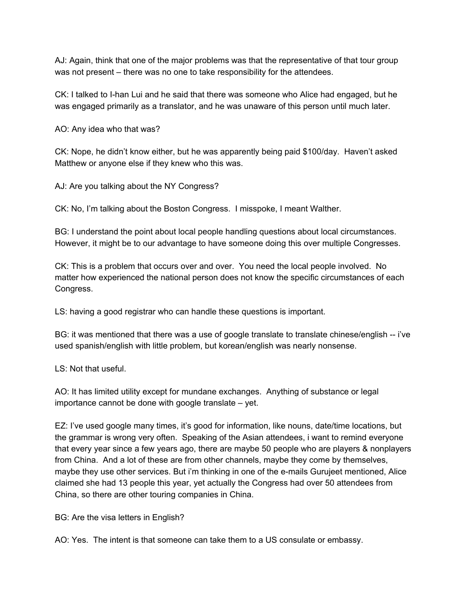AJ: Again, think that one of the major problems was that the representative of that tour group was not present – there was no one to take responsibility for the attendees.

CK: I talked to I-han Lui and he said that there was someone who Alice had engaged, but he was engaged primarily as a translator, and he was unaware of this person until much later.

AO: Any idea who that was?

CK: Nope, he didn't know either, but he was apparently being paid \$100/day. Haven't asked Matthew or anyone else if they knew who this was.

AJ: Are you talking about the NY Congress?

CK: No, I'm talking about the Boston Congress. I misspoke, I meant Walther.

BG: I understand the point about local people handling questions about local circumstances. However, it might be to our advantage to have someone doing this over multiple Congresses.

CK: This is a problem that occurs over and over. You need the local people involved. No matter how experienced the national person does not know the specific circumstances of each Congress.

LS: having a good registrar who can handle these questions is important.

BG: it was mentioned that there was a use of google translate to translate chinese/english -- i've used spanish/english with little problem, but korean/english was nearly nonsense.

LS: Not that useful.

AO: It has limited utility except for mundane exchanges. Anything of substance or legal importance cannot be done with google translate – yet.

EZ: I've used google many times, it's good for information, like nouns, date/time locations, but the grammar is wrong very often. Speaking of the Asian attendees, i want to remind everyone that every year since a few years ago, there are maybe 50 people who are players & nonplayers from China. And a lot of these are from other channels, maybe they come by themselves, maybe they use other services. But i'm thinking in one of the e-mails Gurujeet mentioned, Alice claimed she had 13 people this year, yet actually the Congress had over 50 attendees from China, so there are other touring companies in China.

BG: Are the visa letters in English?

AO: Yes. The intent is that someone can take them to a US consulate or embassy.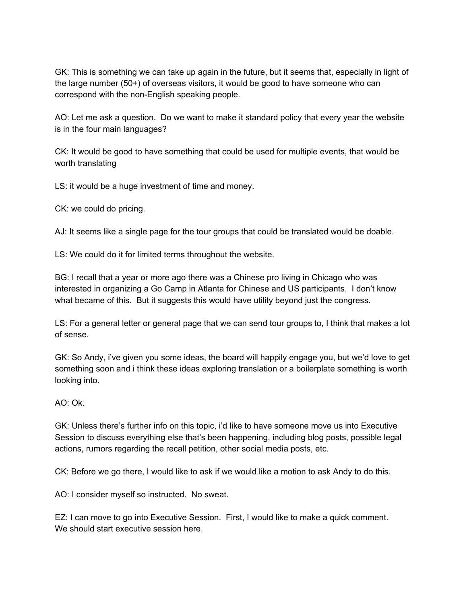GK: This is something we can take up again in the future, but it seems that, especially in light of the large number (50+) of overseas visitors, it would be good to have someone who can correspond with the non-English speaking people.

AO: Let me ask a question. Do we want to make it standard policy that every year the website is in the four main languages?

CK: It would be good to have something that could be used for multiple events, that would be worth translating

LS: it would be a huge investment of time and money.

CK: we could do pricing.

AJ: It seems like a single page for the tour groups that could be translated would be doable.

LS: We could do it for limited terms throughout the website.

BG: I recall that a year or more ago there was a Chinese pro living in Chicago who was interested in organizing a Go Camp in Atlanta for Chinese and US participants. I don't know what became of this. But it suggests this would have utility beyond just the congress.

LS: For a general letter or general page that we can send tour groups to, I think that makes a lot of sense.

GK: So Andy, i've given you some ideas, the board will happily engage you, but we'd love to get something soon and i think these ideas exploring translation or a boilerplate something is worth looking into.

## AO: Ok.

GK: Unless there's further info on this topic, i'd like to have someone move us into Executive Session to discuss everything else that's been happening, including blog posts, possible legal actions, rumors regarding the recall petition, other social media posts, etc.

CK: Before we go there, I would like to ask if we would like a motion to ask Andy to do this.

AO: I consider myself so instructed. No sweat.

EZ: I can move to go into Executive Session. First, I would like to make a quick comment. We should start executive session here.